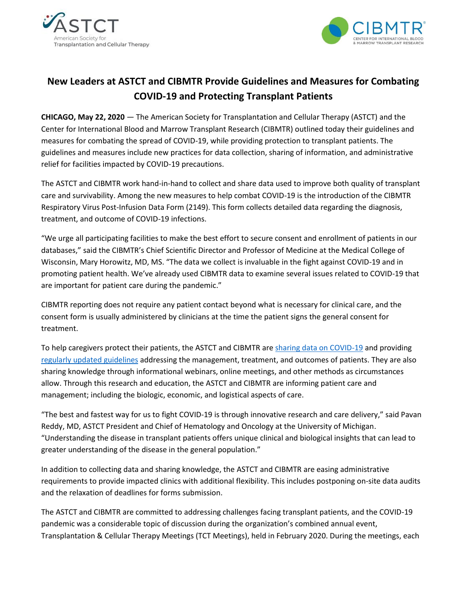



## **New Leaders at ASTCT and CIBMTR Provide Guidelines and Measures for Combating COVID-19 and Protecting Transplant Patients**

**CHICAGO, May 22, 2020** — The American Society for Transplantation and Cellular Therapy (ASTCT) and the Center for International Blood and Marrow Transplant Research (CIBMTR) outlined today their guidelines and measures for combating the spread of COVID-19, while providing protection to transplant patients. The guidelines and measures include new practices for data collection, sharing of information, and administrative relief for facilities impacted by COVID-19 precautions.

The ASTCT and CIBMTR work hand-in-hand to collect and share data used to improve both quality of transplant care and survivability. Among the new measures to help combat COVID-19 is the introduction of the CIBMTR Respiratory Virus Post-Infusion Data Form (2149). This form collects detailed data regarding the diagnosis, treatment, and outcome of COVID-19 infections.

"We urge all participating facilities to make the best effort to secure consent and enrollment of patients in our databases," said the CIBMTR's Chief Scientific Director and Professor of Medicine at the Medical College of Wisconsin, Mary Horowitz, MD, MS. "The data we collect is invaluable in the fight against COVID-19 and in promoting patient health. We've already used CIBMTR data to examine several issues related to COVID-19 that are important for patient care during the pandemic."

CIBMTR reporting does not require any patient contact beyond what is necessary for clinical care, and the consent form is usually administered by clinicians at the time the patient signs the general consent for treatment.

To help caregivers protect their patients, the ASTCT and CIBMTR ar[e sharing data on COVID-19](https://www.cibmtr.org/Covid19/Pages/default.aspx) and providing [regularly updated](https://www.astct.org/higherlogic/s/l/li?redir=https%3a%2f%2fwww.astct.org%2fconnect%2fastct-response-to-covid-19) guidelines addressing the management, treatment, and outcomes of patients. They are also sharing knowledge through informational webinars, online meetings, and other methods as circumstances allow. Through this research and education, the ASTCT and CIBMTR are informing patient care and management; including the biologic, economic, and logistical aspects of care.

"The best and fastest way for us to fight COVID-19 is through innovative research and care delivery," said Pavan Reddy, MD, ASTCT President and Chief of Hematology and Oncology at the University of Michigan. "Understanding the disease in transplant patients offers unique clinical and biological insights that can lead to greater understanding of the disease in the general population."

In addition to collecting data and sharing knowledge, the ASTCT and CIBMTR are easing administrative requirements to provide impacted clinics with additional flexibility. This includes postponing on-site data audits and the relaxation of deadlines for forms submission.

The ASTCT and CIBMTR are committed to addressing challenges facing transplant patients, and the COVID-19 pandemic was a considerable topic of discussion during the organization's combined annual event, Transplantation & Cellular Therapy Meetings (TCT Meetings), held in February 2020. During the meetings, each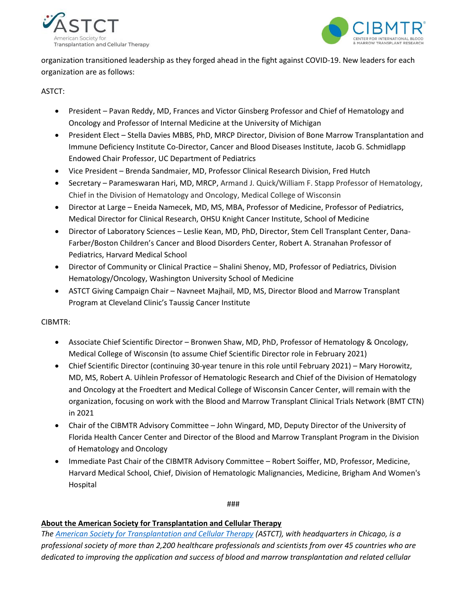



organization transitioned leadership as they forged ahead in the fight against COVID-19. New leaders for each organization are as follows:

ASTCT:

- President Pavan Reddy, MD, Frances and Victor Ginsberg Professor and Chief of Hematology and Oncology and Professor of Internal Medicine at the University of Michigan
- President Elect Stella Davies MBBS, PhD, MRCP Director, Division of Bone Marrow Transplantation and Immune Deficiency Institute Co-Director, Cancer and Blood Diseases Institute, Jacob G. Schmidlapp Endowed Chair Professor, UC Department of Pediatrics
- Vice President Brenda Sandmaier, MD, Professor Clinical Research Division, Fred Hutch
- Secretary Parameswaran Hari, MD, MRCP, Armand J. Quick/William F. Stapp Professor of Hematology, Chief in the Division of Hematology and Oncology, Medical College of Wisconsin
- Director at Large Eneida Namecek, MD, MS, MBA, Professor of Medicine, Professor of Pediatrics, Medical Director for Clinical Research, OHSU Knight Cancer Institute, School of Medicine
- Director of Laboratory Sciences Leslie Kean, MD, PhD, Director, Stem Cell Transplant Center, Dana-Farber/Boston Children's Cancer and Blood Disorders Center, Robert A. Stranahan Professor of Pediatrics, Harvard Medical School
- Director of Community or Clinical Practice Shalini Shenoy, MD, Professor of Pediatrics, Division Hematology/Oncology, Washington University School of Medicine
- ASTCT Giving Campaign Chair Navneet Majhail, MD, MS, Director Blood and Marrow Transplant Program at Cleveland Clinic's Taussig Cancer Institute

CIBMTR:

- Associate Chief Scientific Director Bronwen Shaw, MD, PhD, Professor of Hematology & Oncology, Medical College of Wisconsin (to assume Chief Scientific Director role in February 2021)
- Chief Scientific Director (continuing 30-year tenure in this role until February 2021) Mary Horowitz, MD, MS, Robert A. Uihlein Professor of Hematologic Research and Chief of the Division of Hematology and Oncology at the Froedtert and Medical College of Wisconsin Cancer Center, will remain with the organization, focusing on work with the Blood and Marrow Transplant Clinical Trials Network (BMT CTN) in 2021
- Chair of the CIBMTR Advisory Committee John Wingard, MD, Deputy Director of the University of Florida Health Cancer Center and Director of the Blood and Marrow Transplant Program in the Division of Hematology and Oncology
- Immediate Past Chair of the CIBMTR Advisory Committee Robert Soiffer, MD, Professor, Medicine, Harvard Medical School, Chief, Division of Hematologic Malignancies, Medicine, Brigham And Women's Hospital

###

## **About the American Society for Transplantation and Cellular Therapy**

*The [American Society for Transplantation and Cellular Therapy](https://www.astct.org/home) (ASTCT), with headquarters in Chicago, is a professional society of more than 2,200 healthcare professionals and scientists from over 45 countries who are dedicated to improving the application and success of blood and marrow transplantation and related cellular*